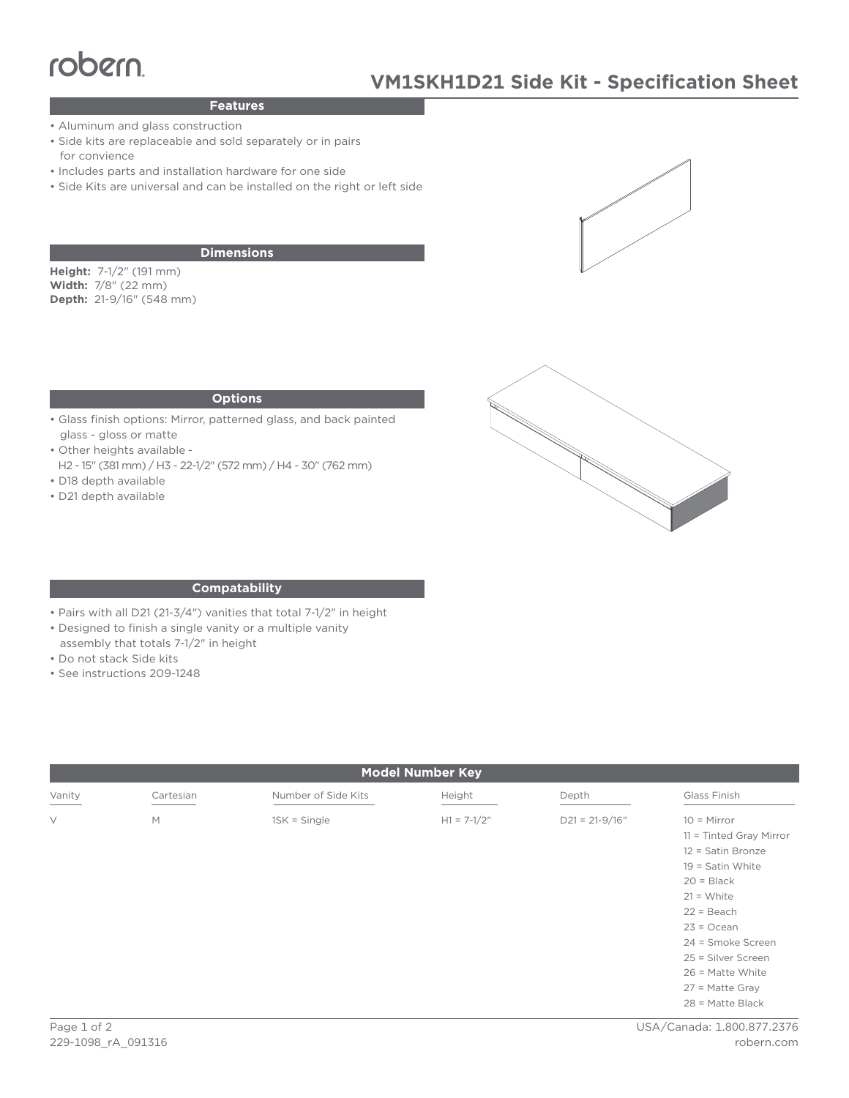# **VOOCIN**<br>Teatures

# **Features**

- Aluminum and glass construction
- Side kits are replaceable and sold separately or in pairs for convience
- Includes parts and installation hardware for one side
- Side Kits are universal and can be installed on the right or left side

### **Dimensions**

**Height:** 7-1/2" (191 mm) **Width:** 7/8" (22 mm) **Depth:** 21-9/16" (548 mm)

### **Options**

- Glass finish options: Mirror, patterned glass, and back painted glass - gloss or matte
- Other heights available -
- H2 15" (381 mm) / H3 22-1/2" (572 mm) / H4 30" (762 mm) • D18 depth available
- 
- D21 depth available





### **Compatability**

- Pairs with all D21 (21-3/4") vanities that total 7-1/2" in height
- Designed to finish a single vanity or a multiple vanity
- assembly that totals 7-1/2" in height
- Do not stack Side kits
- See instructions 209-1248

| <b>Model Number Key</b> |           |                     |               |                    |                                                                                                                                                                                                                      |
|-------------------------|-----------|---------------------|---------------|--------------------|----------------------------------------------------------------------------------------------------------------------------------------------------------------------------------------------------------------------|
| Vanity                  | Cartesian | Number of Side Kits | Height        | Depth              | Glass Finish                                                                                                                                                                                                         |
| $\vee$                  | M         | $1SK = Single$      | $H1 = 7-1/2"$ | $D21 = 21 - 9/16"$ | $10 =$ Mirror<br>11 = Tinted Gray Mirror<br>12 = Satin Bronze<br>$19 =$ Satin White<br>$20 = Black$<br>$21 = White$<br>$22 = Beach$<br>$23 = Ocean$<br>24 = Smoke Screen<br>25 = Silver Screen<br>$26$ = Matte White |
|                         |           |                     |               |                    | $27$ = Matte Gray<br>$28$ = Matte Black                                                                                                                                                                              |